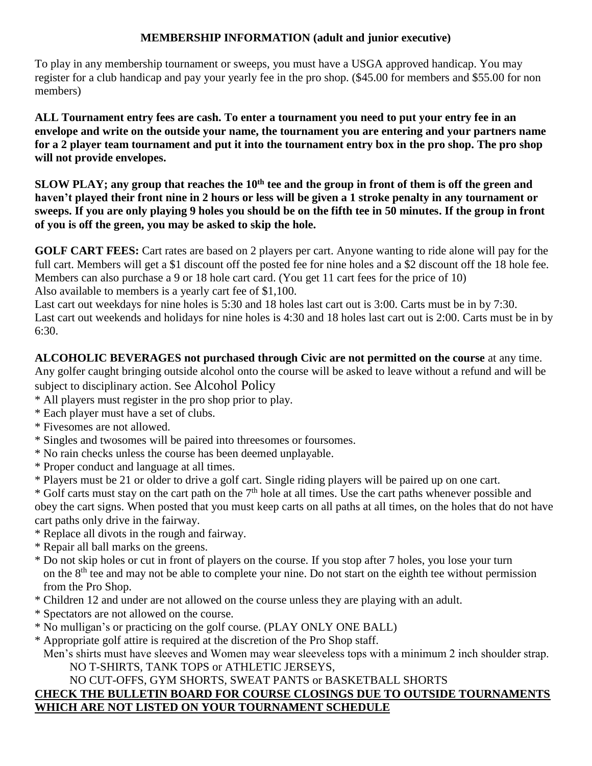### **MEMBERSHIP INFORMATION (adult and junior executive)**

To play in any membership tournament or sweeps, you must have a USGA approved handicap. You may register for a club handicap and pay your yearly fee in the pro shop. (\$45.00 for members and \$55.00 for non members)

**ALL Tournament entry fees are cash. To enter a tournament you need to put your entry fee in an envelope and write on the outside your name, the tournament you are entering and your partners name for a 2 player team tournament and put it into the tournament entry box in the pro shop. The pro shop will not provide envelopes.**

**SLOW PLAY; any group that reaches the 10th tee and the group in front of them is off the green and haven't played their front nine in 2 hours or less will be given a 1 stroke penalty in any tournament or sweeps. If you are only playing 9 holes you should be on the fifth tee in 50 minutes. If the group in front of you is off the green, you may be asked to skip the hole.**

**GOLF CART FEES:** Cart rates are based on 2 players per cart. Anyone wanting to ride alone will pay for the full cart. Members will get a \$1 discount off the posted fee for nine holes and a \$2 discount off the 18 hole fee. Members can also purchase a 9 or 18 hole cart card. (You get 11 cart fees for the price of 10) Also available to members is a yearly cart fee of \$1,100.

Last cart out weekdays for nine holes is 5:30 and 18 holes last cart out is 3:00. Carts must be in by 7:30. Last cart out weekends and holidays for nine holes is 4:30 and 18 holes last cart out is 2:00. Carts must be in by 6:30.

#### **ALCOHOLIC BEVERAGES not purchased through Civic are not permitted on the course** at any time.

Any golfer caught bringing outside alcohol onto the course will be asked to leave without a refund and will be subject to disciplinary action. See Alcohol Policy

- \* All players must register in the pro shop prior to play.
- \* Each player must have a set of clubs.
- \* Fivesomes are not allowed.
- \* Singles and twosomes will be paired into threesomes or foursomes.
- \* No rain checks unless the course has been deemed unplayable.
- \* Proper conduct and language at all times.
- \* Players must be 21 or older to drive a golf cart. Single riding players will be paired up on one cart.

 $*$  Golf carts must stay on the cart path on the  $7<sup>th</sup>$  hole at all times. Use the cart paths whenever possible and obey the cart signs. When posted that you must keep carts on all paths at all times, on the holes that do not have cart paths only drive in the fairway.

- \* Replace all divots in the rough and fairway.
- \* Repair all ball marks on the greens.
- \* Do not skip holes or cut in front of players on the course. If you stop after 7 holes, you lose your turn on the  $8<sup>th</sup>$  tee and may not be able to complete your nine. Do not start on the eighth tee without permission from the Pro Shop.
- \* Children 12 and under are not allowed on the course unless they are playing with an adult.
- \* Spectators are not allowed on the course.
- \* No mulligan's or practicing on the golf course. (PLAY ONLY ONE BALL)
- \* Appropriate golf attire is required at the discretion of the Pro Shop staff.
- Men's shirts must have sleeves and Women may wear sleeveless tops with a minimum 2 inch shoulder strap. NO T-SHIRTS, TANK TOPS or ATHLETIC JERSEYS,

#### NO CUT-OFFS, GYM SHORTS, SWEAT PANTS or BASKETBALL SHORTS

#### **CHECK THE BULLETIN BOARD FOR COURSE CLOSINGS DUE TO OUTSIDE TOURNAMENTS WHICH ARE NOT LISTED ON YOUR TOURNAMENT SCHEDULE**